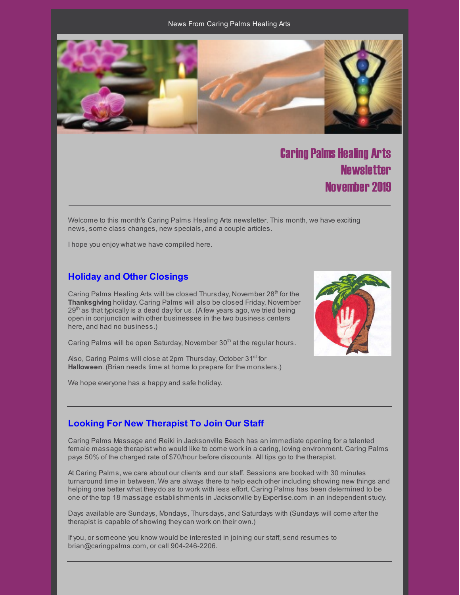#### News From Caring Palms Healing Arts



# Caring Palms Healing Arts **Newsletter** November 2019

Welcome to this month's Caring Palms Healing Arts newsletter. This month, we have exciting news, some class changes, new specials, and a couple articles.

I hope you enjoy what we have compiled here.

## **Holiday and Other Closings**

Caring Palms Healing Arts will be closed Thursday, November 28<sup>th</sup> for the **Thanksgiving** holiday. Caring Palms will also be closed Friday, November 29<sup>th</sup> as that typically is a dead day for us. (A few years ago, we tried being open in conjunction with other businesses in the two business centers here, and had no business.)

Caring Palms will be open Saturday, November 30<sup>th</sup> at the regular hours.

Also, Caring Palms will close at 2pm Thursday, October 31<sup>st</sup> for **Halloween**. (Brian needs time at home to prepare for the monsters.)

We hope everyone has a happy and safe holiday.



## **Looking For New Therapist To Join Our Staff**

Caring Palms Massage and Reiki in Jacksonville Beach has an immediate opening for a talented female massage therapist who would like to come work in a caring, loving environment. Caring Palms pays 50% of the charged rate of \$70/hour before discounts. All tips go to the therapist.

At Caring Palms, we care about our clients and our staff. Sessions are booked with 30 minutes turnaround time in between. We are always there to help each other including showing new things and helping one better what they do as to work with less effort. Caring Palms has been determined to be one of the top 18 massage establishments in Jacksonville by Expertise.com in an independent study.

Days available are Sundays, Mondays, Thursdays, and Saturdays with (Sundays will come after the therapist is capable of showing theycan work on their own.)

If you, or someone you know would be interested in joining our staff, send resumes to brian@caringpalms.com, or call 904-246-2206.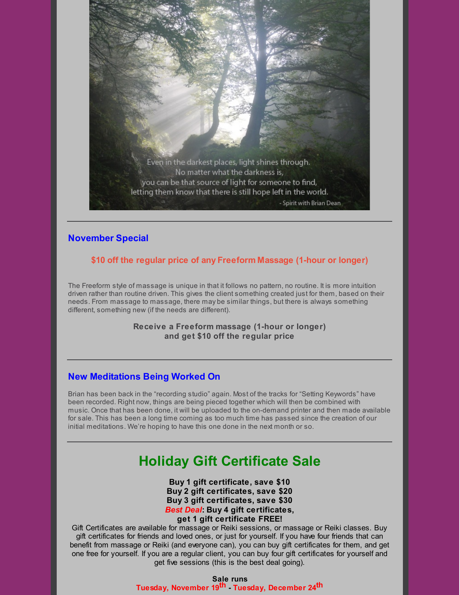

# **November Special**

## **\$10 off the regular price of any Freeform Massage (1-hour or longer)**

The Freeform style of massage is unique in that it follows no pattern, no routine. It is more intuition driven rather than routine driven. This gives the client something created just for them, based on their needs. From massage to massage, there may be similar things, but there is always something different, something new (if the needs are different).

> **Receive a Freeform massage (1-hour or longer) and get \$10 off the regular price**

## **New Meditations Being Worked On**

Brian has been back in the "recording studio" again. Most of the tracks for "Setting Keywords" have been recorded. Right now, things are being pieced together which will then be combined with music. Once that has been done, it will be uploaded to the on-demand printer and then made available for sale. This has been a long time coming as too much time has passed since the creation of our initial meditations. We're hoping to have this one done in the next month or so.

# **Holiday Gift Certificate Sale**

**Buy 1 gift certificate, save \$10 Buy 2 gift certificates, save \$20 Buy 3 gift certificates, save \$30** *Best Deal***: Buy 4 gift certificates, get 1 gift certificate FREE!**

Gift Certificates are available for massage or Reiki sessions, or massage or Reiki classes. Buy gift certificates for friends and loved ones, or just for yourself. If you have four friends that can benefit from massage or Reiki (and everyone can), you can buy gift certificates for them, and get one free for yourself. If you are a regular client, you can buy four gift certificates for yourself and get five sessions (this is the best deal going).

> **Sale runs Tuesday, November 19 th - Tuesday, December 24 th**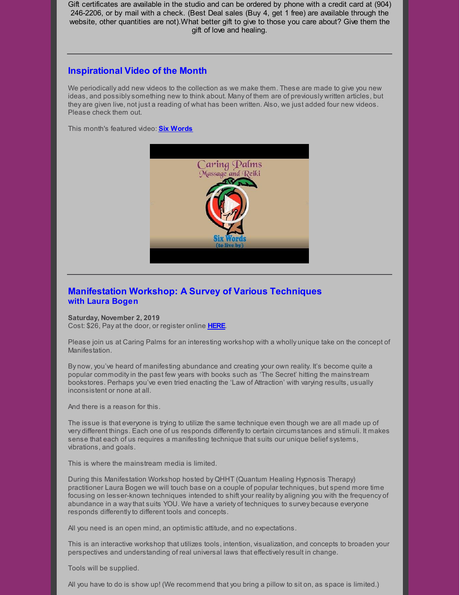Gift certificates are available in the studio and can be ordered by phone with a credit card at (904) 246-2206, or by mail with a check. (Best Deal sales (Buy 4, get 1 free) are available through the website, other quantities are not).What better gift to give to those you care about? Give them the gift of love and healing.

## **Inspirational Video of the Month**

We periodically add new videos to the collection as we make them. These are made to give you new ideas, and possiblysomething new to think about. Many of them are of previously written articles, but they are given live, not just a reading of what has been written. Also, we just added four new videos. Please check them out.

This month's featured video: **Six [Words](https://www.youtube.com/watch?v=frG0abdrcp0)**



# **Manifestation Workshop: A Survey of Various Techniques with Laura Bogen**

#### **Saturday, November 2, 2019**

Cost: \$26, Pay at the door, or register online **[HERE](https://www.universe.com/events/manifestation-workshop-a-survey-of-various-techniques-tickets-LX41QZ)**.

Please join us at Caring Palms for an interesting workshop with a wholly unique take on the concept of Manifestation.

By now, you've heard of manifesting abundance and creating your own reality. It's become quite a popular commodityin the past few years with books such as 'The Secret' hitting the mainstream bookstores. Perhaps you've even tried enacting the 'Law of Attraction' with varying results, usually inconsistent or none at all.

And there is a reason for this.

The issue is that everyone is trying to utilize the same technique even though we are all made up of very different things. Each one of us responds differently to certain circumstances and stimuli. It makes sense that each of us requires a manifesting technique that suits our unique belief systems, vibrations, and goals.

This is where the mainstream media is limited.

During this Manifestation Workshop hosted by QHHT (Quantum Healing Hypnosis Therapy) practitioner Laura Bogen we will touch base on a couple of popular techniques, but spend more time focusing on lesser-known techniques intended to shift your reality by aligning you with the frequency of abundance in a waythat suits YOU. We have a variety of techniques to survey because everyone responds differently to different tools and concepts.

All you need is an open mind, an optimistic attitude, and no expectations.

This is an interactive workshop that utilizes tools, intention, visualization, and concepts to broaden your perspectives and understanding of real universal laws that effectivelyresult in change.

Tools will be supplied.

All you have to do is show up! (We recommend that you bring a pillow to sit on, as space is limited.)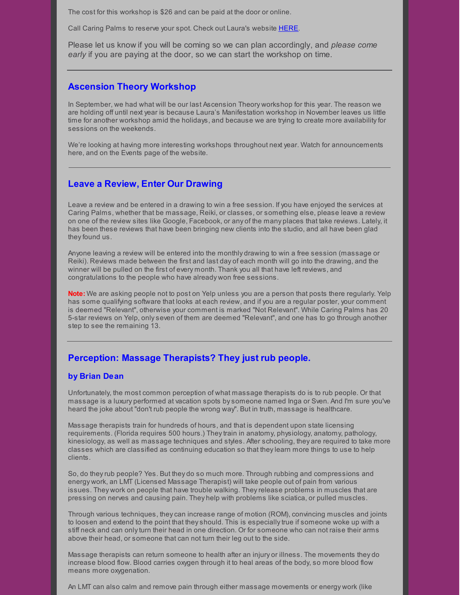The cost for this workshop is \$26 and can be paid at the door or online.

Call Caring Palms to reserve your spot. Check out Laura's website [HERE](http://www.soultrekexperience.com/).

Please let us know if you will be coming so we can plan accordingly, and *please come early* if you are paying at the door, so we can start the workshop on time.

## **Ascension Theory Workshop**

In September, we had what will be our last Ascension Theory workshop for this year. The reason we are holding off until next year is because Laura's Manifestation workshop in November leaves us little time for another workshop amid the holidays, and because we are trying to create more availability for sessions on the weekends.

We're looking at having more interesting workshops throughout next year. Watch for announcements here, and on the Events page of the website.

## **Leave a Review, Enter Our Drawing**

Leave a review and be entered in a drawing to win a free session. If you have enjoyed the services at Caring Palms, whether that be massage, Reiki, or classes, or something else, please leave a review on one of the review sites like Google, Facebook, or any of the many places that take reviews. Lately, it has been these reviews that have been bringing new clients into the studio, and all have been glad they found us.

Anyone leaving a review will be entered into the monthly drawing to win a free session (massage or Reiki). Reviews made between the first and last day of each month will go into the drawing, and the winner will be pulled on the first of every month. Thank you all that have left reviews, and congratulations to the people who have already won free sessions.

**Note:** We are asking people not to post on Yelp unless you are a person that posts there regularly. Yelp has some qualifying software that looks at each review, and if you are a regular poster, your comment is deemed "Relevant", otherwise your comment is marked "Not Relevant". While Caring Palms has 20 5-star reviews on Yelp, onlyseven of them are deemed "Relevant", and one has to go through another step to see the remaining 13.

## **Perception: Massage Therapists? They just rub people.**

#### **by Brian Dean**

Unfortunately, the most common perception of what massage therapists do is to rub people. Or that massage is a luxury performed at vacation spots bysomeone named Inga or Sven. And I'm sure you've heard the joke about "don't rub people the wrong way". But in truth, massage is healthcare.

Massage therapists train for hundreds of hours, and that is dependent upon state licensing requirements. (Florida requires 500 hours.) Theytrain in anatomy, physiology, anatomy, pathology, kinesiology, as well as massage techniques and styles. After schooling, they are required to take more classes which are classified as continuing education so that theylearn more things to use to help clients.

So, do theyrub people? Yes. But they do so much more. Through rubbing and compressions and energy work, an LMT (Licensed Massage Therapist) will take people out of pain from various issues. They work on people that have trouble walking. Theyrelease problems in muscles that are pressing on nerves and causing pain. They help with problems like sciatica, or pulled muscles.

Through various techniques, theycan increase range of motion (ROM), convincing muscles and joints to loosen and extend to the point that they should. This is especially true if someone woke up with a stiff neck and can onlyturn their head in one direction. Or for someone who can not raise their arms above their head, or someone that can not turn their leg out to the side.

Massage therapists can return someone to health after an injury or illness. The movements they do increase blood flow. Blood carries oxygen through it to heal areas of the body, so more blood flow means more oxygenation.

An LMT can also calm and remove pain through either massage movements or energy work (like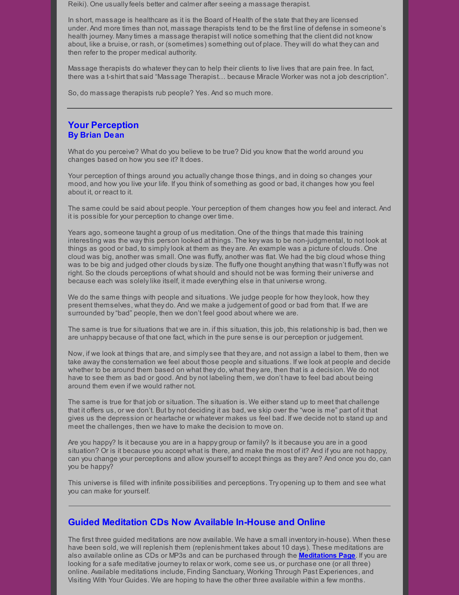Reiki). One usuallyfeels better and calmer after seeing a massage therapist.

In short, massage is healthcare as it is the Board of Health of the state that they are licensed under. And more times than not, massage therapists tend to be the first line of defense in someone's health journey. Manytimes a massage therapist will notice something that the client did not know about, like a bruise, or rash, or (sometimes) something out of place. They will do what theycan and then refer to the proper medical authority.

Massage therapists do whatever theycan to help their clients to live lives that are pain free. In fact, there was a t-shirt that said "Massage Therapist… because Miracle Worker was not a job description".

So, do massage therapists rub people? Yes. And so much more.

## **Your Perception By Brian Dean**

What do you perceive? What do you believe to be true? Did you know that the world around you changes based on how you see it? It does.

Your perception of things around you actuallychange those things, and in doing so changes your mood, and how you live your life. If you think of something as good or bad, it changes how you feel about it, or react to it.

The same could be said about people. Your perception of them changes how you feel and interact. And it is possible for your perception to change over time.

Years ago, someone taught a group of us meditation. One of the things that made this training interesting was the waythis person looked at things. The key was to be non-judgmental, to not look at things as good or bad, to simplylook at them as they are. An example was a picture of clouds. One cloud was big, another was small. One was fluffy, another was flat. We had the big cloud whose thing was to be big and judged other clouds bysize. The fluffy one thought anything that wasn't fluffy was not right. So the clouds perceptions of what should and should not be was forming their universe and because each was solelylike itself, it made everything else in that universe wrong.

We do the same things with people and situations. We judge people for how they look, how they present themselves, what they do. And we make a judgement of good or bad from that. If we are surrounded by"bad" people, then we don't feel good about where we are.

The same is true for situations that we are in. if this situation, this job, this relationship is bad, then we are unhappy because of that one fact, which in the pure sense is our perception or judgement.

Now, if we look at things that are, and simplysee that they are, and not assign a label to them, then we take awaythe consternation we feel about those people and situations. If we look at people and decide whether to be around them based on what they do, what they are, then that is a decision. We do not have to see them as bad or good. And by not labeling them, we don't have to feel bad about being around them even if we would rather not.

The same is true for that job or situation. The situation is. We either stand up to meet that challenge that it offers us, or we don't. But by not deciding it as bad, we skip over the "woe is me" part of it that gives us the depression or heartache or whatever makes us feel bad. If we decide not to stand up and meet the challenges, then we have to make the decision to move on.

Are you happy? Is it because you are in a happy group or family? Is it because you are in a good situation? Or is it because you accept what is there, and make the most of it? And if you are not happy, can you change your perceptions and allow yourself to accept things as they are? And once you do, can you be happy?

This universe is filled with infinite possibilities and perceptions. Try opening up to them and see what you can make for yourself.

## **Guided Meditation CDs Now Available In-House and Online**

The first three guided meditations are now available. We have a small inventoryin-house). When these have been sold, we will replenish them (replenishment takes about 10 days). These meditations are also available online as CDs or MP3s and can be purchased through the **[Meditations](http://caringpalms.com/meditations.html) Page**. If you are looking for a safe meditative journeyto relax or work, come see us, or purchase one (or all three) online. Available meditations include, Finding Sanctuary, Working Through Past Experiences, and Visiting With Your Guides. We are hoping to have the other three available within a few months.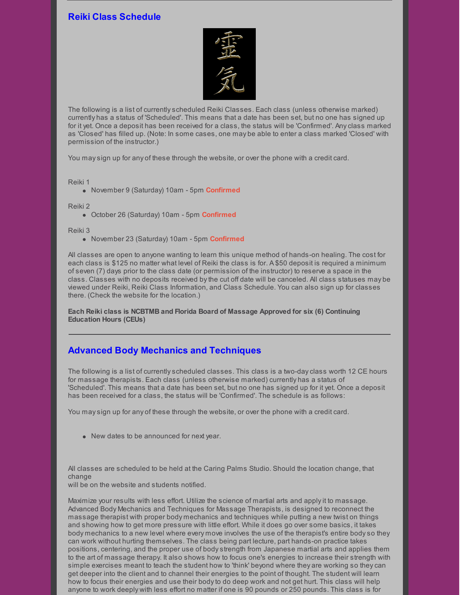# **Reiki Class Schedule**



The following is a list of currentlyscheduled Reiki Classes. Each class (unless otherwise marked) currently has a status of 'Scheduled'. This means that a date has been set, but no one has signed up for it yet. Once a deposit has been received for a class, the status will be 'Confirmed'. Anyclass marked as 'Closed' has filled up. (Note: In some cases, one may be able to enter a class marked 'Closed' with permission of the instructor.)

You maysign up for any of these through the website, or over the phone with a credit card.

Reiki 1

November 9 (Saturday) 10am - 5pm **Confirmed**

Reiki 2

October 26 (Saturday) 10am - 5pm **Confirmed**

Reiki 3

November 23 (Saturday) 10am - 5pm **Confirmed**

All classes are open to anyone wanting to learn this unique method of hands-on healing. The cost for each class is \$125 no matter what level of Reiki the class is for. A \$50 deposit is required a minimum of seven (7) days prior to the class date (or permission of the instructor) to reserve a space in the class. Classes with no deposits received bythe cut off date will be canceled. All class statuses may be viewed under Reiki, Reiki Class Information, and Class Schedule. You can also sign up for classes there. (Check the website for the location.)

**Each Reiki class is NCBTMB and Florida Board of Massage Approved for six (6) Continuing Education Hours (CEUs)**

## **Advanced Body Mechanics and Techniques**

The following is a list of currentlyscheduled classes. This class is a two-dayclass worth 12 CE hours for massage therapists. Each class (unless otherwise marked) currently has a status of 'Scheduled'. This means that a date has been set, but no one has signed up for it yet. Once a deposit has been received for a class, the status will be 'Confirmed'. The schedule is as follows:

You maysign up for any of these through the website, or over the phone with a credit card.

New dates to be announced for next year.

All classes are scheduled to be held at the Caring Palms Studio. Should the location change, that change

will be on the website and students notified.

Maximize your results with less effort. Utilize the science of martial arts and applyit to massage. Advanced Body Mechanics and Techniques for Massage Therapists, is designed to reconnect the massage therapist with proper body mechanics and techniques while putting a new twist on things and showing how to get more pressure with little effort. While it does go over some basics, it takes body mechanics to a new level where every move involves the use of the therapist's entire bodyso they can work without hurting themselves. The class being part lecture, part hands-on practice takes positions, centering, and the proper use of bodystrength from Japanese martial arts and applies them to the art of massage therapy. It also shows how to focus one's energies to increase their strength with simple exercises meant to teach the student how to 'think' beyond where they are working so theycan get deeper into the client and to channel their energies to the point of thought. The student will learn how to focus their energies and use their bodyto do deep work and not get hurt. This class will help anyone to work deeply with less effort no matter if one is 90 pounds or 250 pounds. This class is for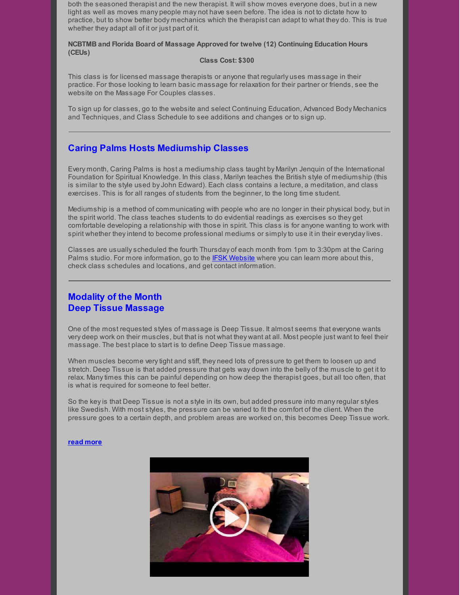both the seasoned therapist and the new therapist. It will show moves everyone does, but in a new light as well as moves many people may not have seen before. The idea is not to dictate how to practice, but to show better body mechanics which the therapist can adapt to what they do. This is true whether they adapt all of it or just part of it.

**NCBTMB and Florida Board of Massage Approved for twelve (12) Continuing Education Hours (CEUs)**

#### **Class Cost: \$300**

This class is for licensed massage therapists or anyone that regularly uses massage in their practice. For those looking to learn basic massage for relaxation for their partner or friends, see the website on the Massage For Couples classes.

To sign up for classes, go to the website and select Continuing Education, Advanced Body Mechanics and Techniques, and Class Schedule to see additions and changes or to sign up.

## **Caring Palms Hosts Mediumship Classes**

Every month, Caring Palms is host a mediumship class taught by Marilyn Jenquin of the International Foundation for Spiritual Knowledge. In this class, Marilyn teaches the British style of mediumship (this is similar to the style used by John Edward). Each class contains a lecture, a meditation, and class exercises. This is for all ranges of students from the beginner, to the long time student.

Mediumship is a method of communicating with people who are no longer in their physical body, but in the spirit world. The class teaches students to do evidential readings as exercises so they get comfortable developing a relationship with those in spirit. This class is for anyone wanting to work with spirit whether theyintend to become professional mediums or simplyto use it in their everydaylives.

Classes are usuallyscheduled the fourth Thursday of each month from 1pm to 3:30pm at the Caring Palms studio. For more information, go to the IFSK [Website](http://www.ifsk.org/) where you can learn more about this, check class schedules and locations, and get contact information.

## **Modality of the Month Deep Tissue Massage**

One of the most requested styles of massage is Deep Tissue. It almost seems that everyone wants very deep work on their muscles, but that is not what they want at all. Most people just want to feel their massage. The best place to start is to define Deep Tissue massage.

When muscles become verytight and stiff, they need lots of pressure to get them to loosen up and stretch. Deep Tissue is that added pressure that gets way down into the belly of the muscle to get it to relax. Manytimes this can be painful depending on how deep the therapist goes, but all too often, that is what is required for someone to feel better.

So the keyis that Deep Tissue is not a style in its own, but added pressure into manyregular styles like Swedish. With most styles, the pressure can be varied to fit the comfort of the client. When the pressure goes to a certain depth, and problem areas are worked on, this becomes Deep Tissue work.

#### **read [more](http://caringpalms.com/article_deeptissue.html)**